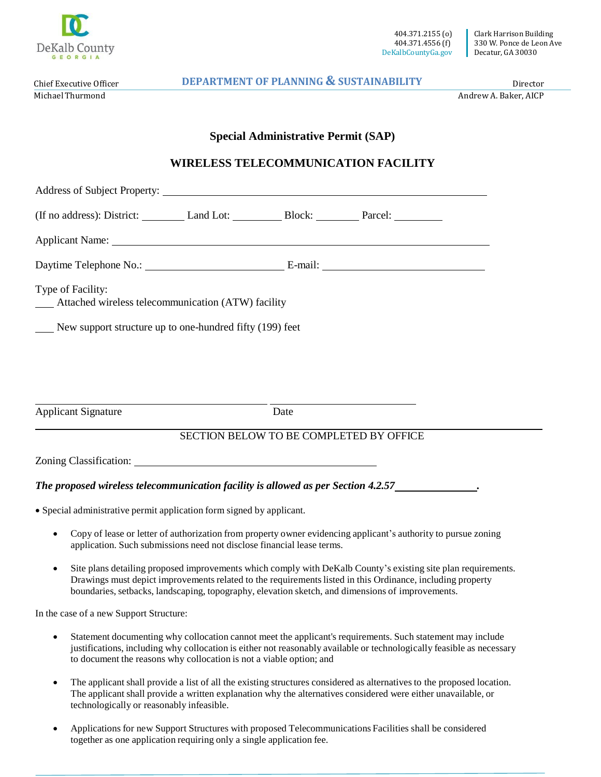

404.371.2155 (o) 404.371.4556 (f) DeKalbCountyGa.gov

Chief Executive Officer Michael Thurmond

**DEPARTMENT OF PLANNING & SUSTAINABILITY** Director

Andrew A. Baker, AICP

## **Special Administrative Permit (SAP)**

## **WIRELESS TELECOMMUNICATION FACILITY**

| (If no address): District: Land Lot: Block: Parcel: Parcel:             |                                                                        |      |                                                                                                                |  |
|-------------------------------------------------------------------------|------------------------------------------------------------------------|------|----------------------------------------------------------------------------------------------------------------|--|
| Applicant Name: Name:                                                   |                                                                        |      |                                                                                                                |  |
|                                                                         |                                                                        |      |                                                                                                                |  |
| Type of Facility:<br>Attached wireless telecommunication (ATW) facility |                                                                        |      |                                                                                                                |  |
| New support structure up to one-hundred fifty (199) feet                |                                                                        |      |                                                                                                                |  |
|                                                                         |                                                                        |      |                                                                                                                |  |
|                                                                         |                                                                        |      |                                                                                                                |  |
|                                                                         |                                                                        |      |                                                                                                                |  |
| <b>Applicant Signature</b>                                              |                                                                        | Date |                                                                                                                |  |
|                                                                         |                                                                        |      | SECTION BELOW TO BE COMPLETED BY OFFICE                                                                        |  |
|                                                                         |                                                                        |      |                                                                                                                |  |
|                                                                         |                                                                        |      | The proposed wireless telecommunication facility is allowed as per Section 4.2.57                              |  |
| • Special administrative permit application form signed by applicant.   |                                                                        |      |                                                                                                                |  |
|                                                                         | application. Such submissions need not disclose financial lease terms. |      | Copy of lease or letter of authorization from property owner evidencing applicant's authority to pursue zoning |  |

 Site plans detailing proposed improvements which comply with DeKalb County's existing site plan requirements. Drawings must depict improvements related to the requirements listed in this Ordinance, including property boundaries, setbacks, landscaping, topography, elevation sketch, and dimensions of improvements.

In the case of a new Support Structure:

- Statement documenting why collocation cannot meet the applicant's requirements. Such statement may include justifications, including why collocation is either not reasonably available or technologically feasible as necessary to document the reasons why collocation is not a viable option; and
- The applicant shall provide a list of all the existing structures considered as alternatives to the proposed location. The applicant shall provide a written explanation why the alternatives considered were either unavailable, or technologically or reasonably infeasible.
- Applications for new Support Structures with proposed Telecommunications Facilities shall be considered together as one application requiring only a single application fee.